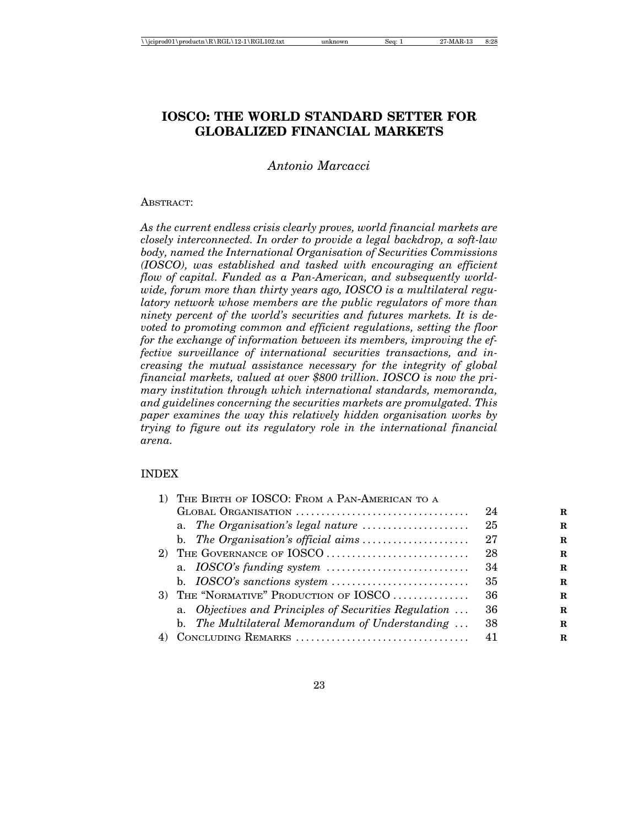| \\jciprod01\productn\R\RGL\12-1\RGL102.txt |  |
|--------------------------------------------|--|
|--------------------------------------------|--|

# **IOSCO: THE WORLD STANDARD SETTER FOR GLOBALIZED FINANCIAL MARKETS**

# *Antonio Marcacci*

#### ABSTRACT:

*As the current endless crisis clearly proves, world financial markets are closely interconnected. In order to provide a legal backdrop, a soft-law body, named the International Organisation of Securities Commissions (IOSCO), was established and tasked with encouraging an efficient flow of capital. Funded as a Pan-American, and subsequently worldwide, forum more than thirty years ago, IOSCO is a multilateral regulatory network whose members are the public regulators of more than ninety percent of the world's securities and futures markets. It is devoted to promoting common and efficient regulations, setting the floor for the exchange of information between its members, improving the effective surveillance of international securities transactions, and increasing the mutual assistance necessary for the integrity of global financial markets, valued at over \$800 trillion. IOSCO is now the primary institution through which international standards, memoranda, and guidelines concerning the securities markets are promulgated. This paper examines the way this relatively hidden organisation works by trying to figure out its regulatory role in the international financial arena.*

#### INDEX

| 1) THE BIRTH OF IOSCO: FROM A PAN-AMERICAN TO A          |    |   |  |  |
|----------------------------------------------------------|----|---|--|--|
| GLOBAL ORGANISATION                                      | 24 | R |  |  |
| a. The Organisation's legal nature                       | 25 | R |  |  |
|                                                          | 27 | R |  |  |
| 2) THE GOVERNANCE OF IOSCO                               | 28 | R |  |  |
|                                                          | 34 | R |  |  |
|                                                          | 35 | R |  |  |
| 3) THE "NORMATIVE" PRODUCTION OF IOSCO                   | 36 | R |  |  |
| a. Objectives and Principles of Securities Regulation    | 36 | R |  |  |
| b. The Multilateral Memorandum of Understanding $\ldots$ | 38 | R |  |  |
| 4) CONCLUDING REMARKS                                    | 41 | R |  |  |
|                                                          |    |   |  |  |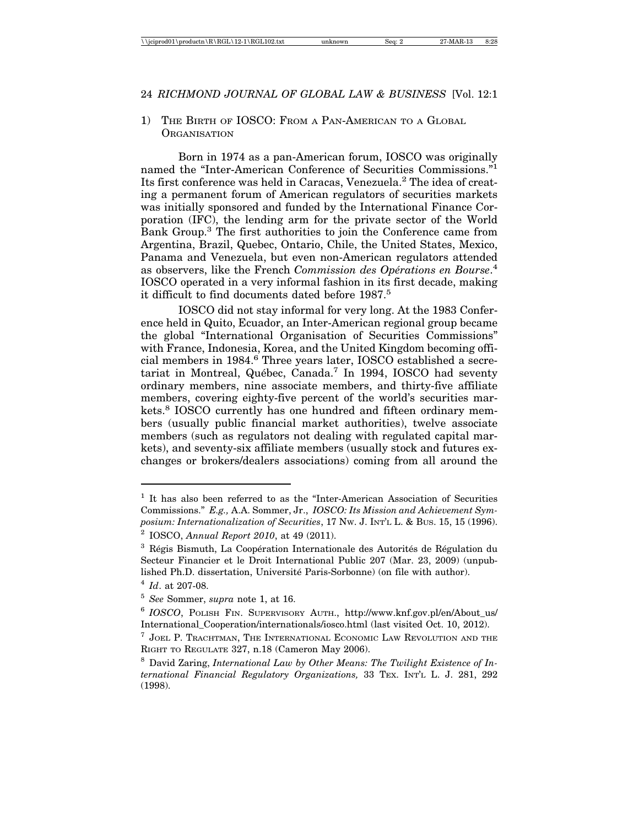## 1) THE BIRTH OF IOSCO: FROM A PAN-AMERICAN TO A GLOBAL **ORGANISATION**

Born in 1974 as a pan-American forum, IOSCO was originally named the "Inter-American Conference of Securities Commissions."1 Its first conference was held in Caracas, Venezuela.<sup>2</sup> The idea of creating a permanent forum of American regulators of securities markets was initially sponsored and funded by the International Finance Corporation (IFC), the lending arm for the private sector of the World Bank Group.<sup>3</sup> The first authorities to join the Conference came from Argentina, Brazil, Quebec, Ontario, Chile, the United States, Mexico, Panama and Venezuela, but even non-American regulators attended as observers, like the French Commission des Opérations en Bourse.<sup>4</sup> IOSCO operated in a very informal fashion in its first decade, making it difficult to find documents dated before 1987.<sup>5</sup>

IOSCO did not stay informal for very long. At the 1983 Conference held in Quito, Ecuador, an Inter-American regional group became the global "International Organisation of Securities Commissions" with France, Indonesia, Korea, and the United Kingdom becoming official members in 1984.<sup>6</sup> Three years later, IOSCO established a secretariat in Montreal, Québec, Canada.<sup>7</sup> In 1994, IOSCO had seventy ordinary members, nine associate members, and thirty-five affiliate members, covering eighty-five percent of the world's securities markets.<sup>8</sup> IOSCO currently has one hundred and fifteen ordinary members (usually public financial market authorities), twelve associate members (such as regulators not dealing with regulated capital markets), and seventy-six affiliate members (usually stock and futures exchanges or brokers/dealers associations) coming from all around the

<sup>&</sup>lt;sup>1</sup> It has also been referred to as the "Inter-American Association of Securities Commissions." *E.g.,* A.A. Sommer, Jr., *IOSCO: Its Mission and Achievement Symposium: Internationalization of Securities*, 17 NW. J. INT'L L. & BUS. 15, 15 (1996).

<sup>2</sup> IOSCO, *Annual Report 2010*, at 49 (2011).

 $3$  Régis Bismuth, La Coopération Internationale des Autorités de Régulation du Secteur Financier et le Droit International Public 207 (Mar. 23, 2009) (unpublished Ph.D. dissertation, Université Paris-Sorbonne) (on file with author).

<sup>4</sup> *Id*. at 207-08.

<sup>5</sup> *See* Sommer, *supra* note 1, at 16.

<sup>6</sup> *IOSCO*, POLISH FIN. SUPERVISORY AUTH., http://www.knf.gov.pl/en/About\_us/ International\_Cooperation/internationals/iosco.html (last visited Oct. 10, 2012).

<sup>7</sup> JOEL P. TRACHTMAN, THE INTERNATIONAL ECONOMIC LAW REVOLUTION AND THE RIGHT TO REGULATE 327, n.18 (Cameron May 2006).

<sup>8</sup> David Zaring, *International Law by Other Means: The Twilight Existence of International Financial Regulatory Organizations,* 33 TEX. INT'L L. J. 281, 292 (1998).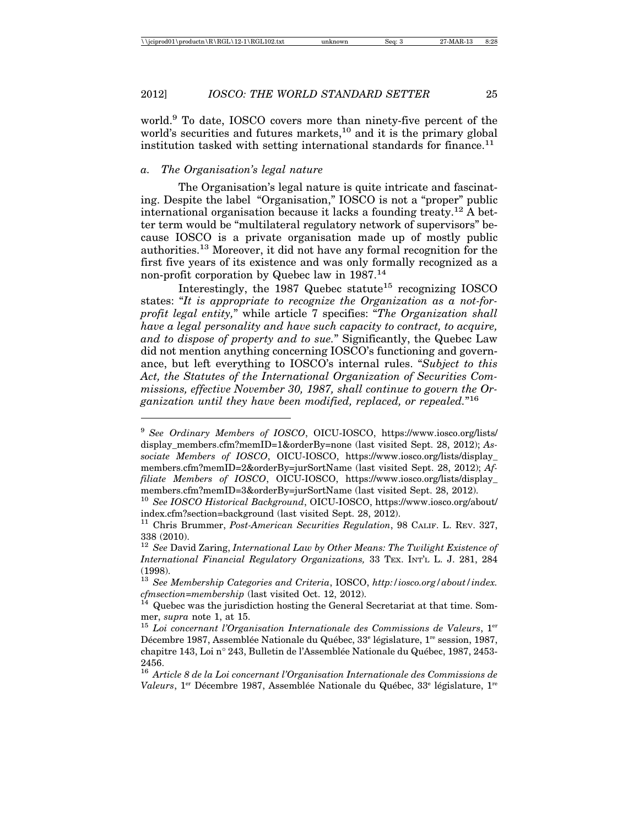world.9 To date, IOSCO covers more than ninety-five percent of the world's securities and futures markets,<sup>10</sup> and it is the primary global institution tasked with setting international standards for finance.<sup>11</sup>

#### *a. The Organisation's legal nature*

The Organisation's legal nature is quite intricate and fascinating. Despite the label "Organisation," IOSCO is not a "proper" public international organisation because it lacks a founding treaty.12 A better term would be "multilateral regulatory network of supervisors" because IOSCO is a private organisation made up of mostly public authorities.13 Moreover, it did not have any formal recognition for the first five years of its existence and was only formally recognized as a non-profit corporation by Quebec law in 1987.14

Interestingly, the 1987 Quebec statute<sup>15</sup> recognizing  $IOSCO$ states: "*It is appropriate to recognize the Organization as a not-forprofit legal entity,*" while article 7 specifies: "*The Organization shall have a legal personality and have such capacity to contract, to acquire, and to dispose of property and to sue.*" Significantly, the Quebec Law did not mention anything concerning IOSCO's functioning and governance, but left everything to IOSCO's internal rules. "*Subject to this Act, the Statutes of the International Organization of Securities Commissions, effective November 30, 1987, shall continue to govern the Organization until they have been modified, replaced, or repealed.*"16

<sup>&</sup>lt;sup>9</sup> See Ordinary Members of IOSCO, OICU-IOSCO, https://www.iosco.org/lists/ display\_members.cfm?memID=1&orderBy=none (last visited Sept. 28, 2012); *Associate Members of IOSCO*, OICU-IOSCO, https://www.iosco.org/lists/display\_ members.cfm?memID=2&orderBy=jurSortName (last visited Sept. 28, 2012); *Affiliate Members of IOSCO*, OICU-IOSCO, https://www.iosco.org/lists/display\_ members.cfm?memID=3&orderBy=jurSortName (last visited Sept. 28, 2012).

<sup>10</sup> *See IOSCO Historical Background*, OICU-IOSCO, https://www.iosco.org/about/ index.cfm?section=background (last visited Sept. 28, 2012).

<sup>11</sup> Chris Brummer, *Post-American Securities Regulation*, 98 CALIF. L. REV. 327, 338 (2010).

<sup>12</sup> *See* David Zaring, *International Law by Other Means: The Twilight Existence of International Financial Regulatory Organizations,* 33 TEX. INT'L L. J. 281, 284 (1998).

<sup>13</sup> *See Membership Categories and Criteria*, IOSCO, *http:/iosco.org/about/index.*

*Quebec was the jurisdiction hosting the General Secretariat at that time. Som*mer, *supra* note 1, at 15.<br><sup>15</sup> *Loi concernant l'Organisation Internationale des Commissions de Valeurs*, 1<sup>er</sup>

Décembre 1987, Assemblée Nationale du Québec, 33<sup>e</sup> législature, 1<sup>re</sup> session, 1987, chapitre 143, Loi n° 243, Bulletin de l'Assemblée Nationale du Québec, 1987, 2453-2456.

<sup>16</sup> *Article 8 de la Loi concernant l'Organisation Internationale des Commissions de* Valeurs, 1<sup>er</sup> Décembre 1987, Assemblée Nationale du Québec, 33<sup>e</sup> législature, 1<sup>re</sup>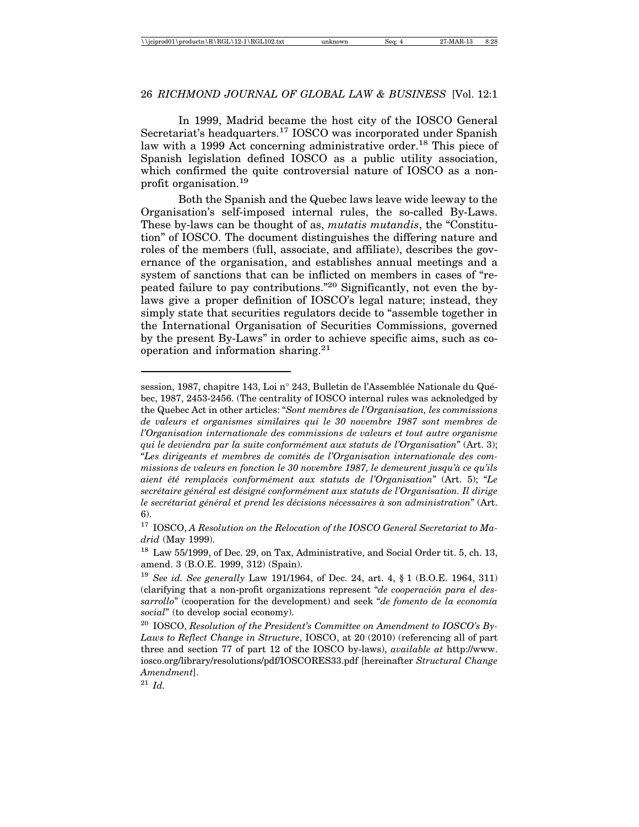In 1999, Madrid became the host city of the IOSCO General Secretariat's headquarters.<sup>17</sup> IOSCO was incorporated under Spanish law with a 1999 Act concerning administrative order.<sup>18</sup> This piece of Spanish legislation defined IOSCO as a public utility association, which confirmed the quite controversial nature of IOSCO as a nonprofit organisation.19

Both the Spanish and the Quebec laws leave wide leeway to the Organisation's self-imposed internal rules, the so-called By-Laws. These by-laws can be thought of as, *mutatis mutandis*, the "Constitution" of IOSCO. The document distinguishes the differing nature and roles of the members (full, associate, and affiliate), describes the governance of the organisation, and establishes annual meetings and a system of sanctions that can be inflicted on members in cases of "repeated failure to pay contributions."20 Significantly, not even the bylaws give a proper definition of IOSCO's legal nature; instead, they simply state that securities regulators decide to "assemble together in the International Organisation of Securities Commissions, governed by the present By-Laws" in order to achieve specific aims, such as cooperation and information sharing.21

session, 1987, chapitre 143, Loi n° 243, Bulletin de l'Assemblée Nationale du Québec, 1987, 2453-2456. (The centrality of IOSCO internal rules was acknoledged by the Quebec Act in other articles: "*Sont membres de l'Organisation, les commissions de valeurs et organismes similaires qui le 30 novembre 1987 sont membres de l'Organisation internationale des commissions de valeurs et tout autre organisme qui le deviendra par la suite conform´ement aux statuts de l'Organisation*" (Art. 3); "Les dirigeants et membres de comités de l'Organisation internationale des com*missions de valeurs en fonction le 30 novembre 1987, le demeurent jusqu'à ce qu'ils aient ´et´e remplac´es conform´ement aux statuts de l'Organisation*" (Art. 5); "*Le secr´etaire g´en´eral est d´esign´e conform´ement aux statuts de l'Organisation. Il dirige* le secrétariat général et prend les décisions nécessaires à son administration<sup>"</sup> (Art. 6).

<sup>&</sup>lt;sup>17</sup> IOSCO, A Resolution on the Relocation of the IOSCO General Secretariat to Ma*drid* (May 1999).

<sup>18</sup> Law 55/1999, of Dec. 29, on Tax, Administrative, and Social Order tit. 5, ch. 13, amend. 3 (B.O.E. 1999, 312) (Spain).

<sup>19</sup> *See id. See generally* Law 191/1964, of Dec. 24, art. 4, § 1 (B.O.E. 1964, 311) (clarifying that a non-profit organizations represent "*de cooperación para el dessarrollo*" (cooperation for the development) and seek "*de fomento de la econom´ıa social*" (to develop social economy).

<sup>20</sup> IOSCO, *Resolution of the President's Committee on Amendment to IOSCO's By-Laws to Reflect Change in Structure*, IOSCO, at 20 (2010) (referencing all of part three and section 77 of part 12 of the IOSCO by-laws), *available at* http://www. iosco.org/library/resolutions/pdf/IOSCORES33.pdf [hereinafter *Structural Change Amendment*].

<sup>21</sup> *Id.*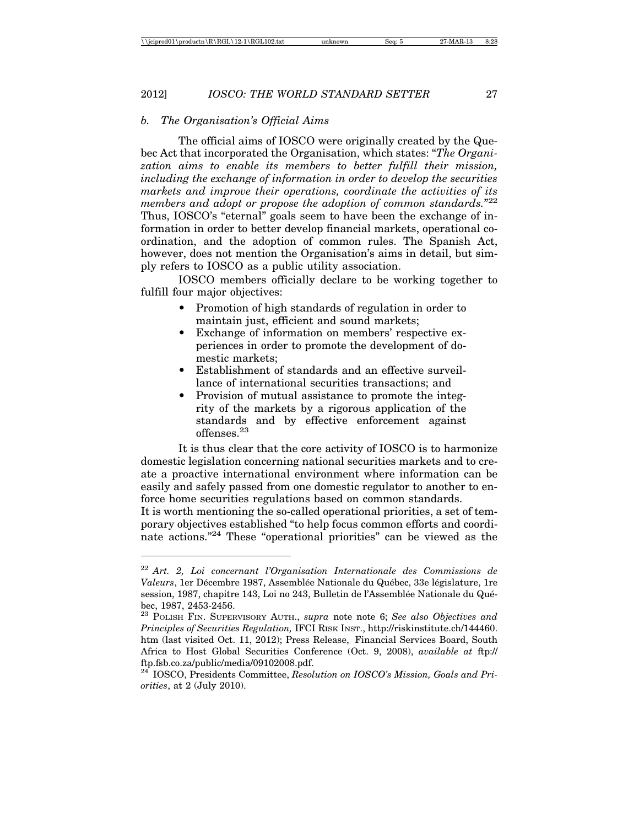#### *b. The Organisation's Official Aims*

The official aims of IOSCO were originally created by the Quebec Act that incorporated the Organisation, which states: "*The Organization aims to enable its members to better fulfill their mission, including the exchange of information in order to develop the securities markets and improve their operations, coordinate the activities of its members and adopt or propose the adoption of common standards.*"22 Thus, IOSCO's "eternal" goals seem to have been the exchange of information in order to better develop financial markets, operational coordination, and the adoption of common rules. The Spanish Act, however, does not mention the Organisation's aims in detail, but simply refers to IOSCO as a public utility association.

IOSCO members officially declare to be working together to fulfill four major objectives:

- Promotion of high standards of regulation in order to maintain just, efficient and sound markets;
- Exchange of information on members' respective experiences in order to promote the development of domestic markets;
- Establishment of standards and an effective surveillance of international securities transactions; and
- Provision of mutual assistance to promote the integrity of the markets by a rigorous application of the standards and by effective enforcement against offenses.23

It is thus clear that the core activity of IOSCO is to harmonize domestic legislation concerning national securities markets and to create a proactive international environment where information can be easily and safely passed from one domestic regulator to another to enforce home securities regulations based on common standards.

It is worth mentioning the so-called operational priorities, a set of temporary objectives established "to help focus common efforts and coordinate actions."24 These "operational priorities" can be viewed as the

<sup>22</sup> *Art. 2, Loi concernant l'Organisation Internationale des Commissions de Valeurs*, 1er Décembre 1987, Assemblée Nationale du Québec, 33e législature, 1re session, 1987, chapitre 143, Loi no 243, Bulletin de l'Assemblée Nationale du Québec, 1987, 2453-2456.

<sup>23</sup> POLISH FIN. SUPERVISORY AUTH., *supra* note note 6; *See also Objectives and Principles of Securities Regulation,* IFCI RISK INST., http://riskinstitute.ch/144460. htm (last visited Oct. 11, 2012); Press Release, Financial Services Board, South Africa to Host Global Securities Conference (Oct. 9, 2008), *available at* ftp:// ftp.fsb.co.za/public/media/09102008.pdf.

<sup>24</sup> IOSCO, Presidents Committee, *Resolution on IOSCO's Mission, Goals and Priorities*, at 2 (July 2010).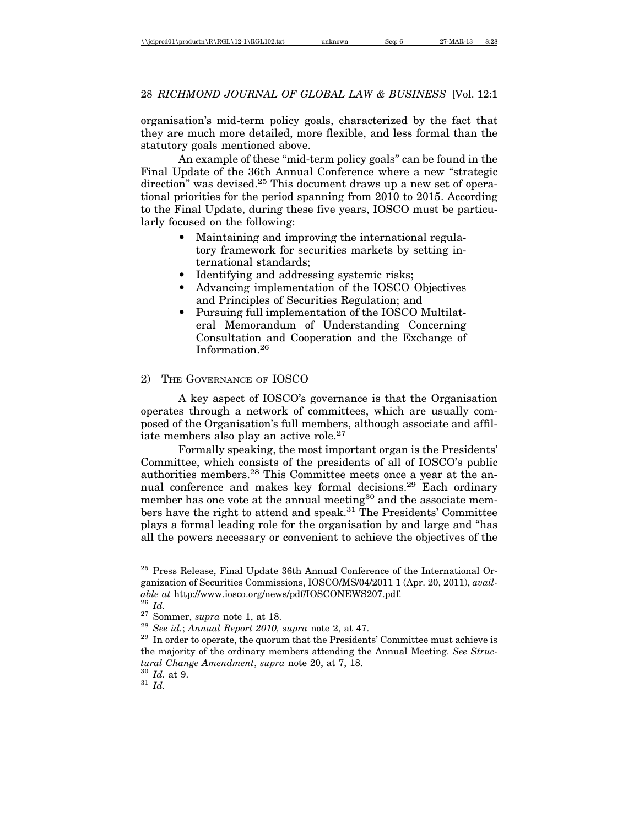organisation's mid-term policy goals, characterized by the fact that they are much more detailed, more flexible, and less formal than the statutory goals mentioned above.

An example of these "mid-term policy goals" can be found in the Final Update of the 36th Annual Conference where a new "strategic direction" was devised.<sup>25</sup> This document draws up a new set of operational priorities for the period spanning from 2010 to 2015. According to the Final Update, during these five years, IOSCO must be particularly focused on the following:

- Maintaining and improving the international regulatory framework for securities markets by setting international standards;
- Identifying and addressing systemic risks;
- Advancing implementation of the IOSCO Objectives and Principles of Securities Regulation; and
- Pursuing full implementation of the IOSCO Multilateral Memorandum of Understanding Concerning Consultation and Cooperation and the Exchange of Information.26

#### 2) THE GOVERNANCE OF IOSCO

A key aspect of IOSCO's governance is that the Organisation operates through a network of committees, which are usually composed of the Organisation's full members, although associate and affiliate members also play an active role.<sup>27</sup>

Formally speaking, the most important organ is the Presidents' Committee, which consists of the presidents of all of IOSCO's public authorities members.28 This Committee meets once a year at the annual conference and makes key formal decisions.29 Each ordinary member has one vote at the annual meeting<sup>30</sup> and the associate members have the right to attend and speak.31 The Presidents' Committee plays a formal leading role for the organisation by and large and "has all the powers necessary or convenient to achieve the objectives of the

 $25$  Press Release, Final Update 36th Annual Conference of the International Organization of Securities Commissions, IOSCO/MS/04/2011 1 (Apr. 20, 2011), *available at http://www.iosco.org/news/pdf/IOSCONEWS207.pdf.*<br><sup>26</sup> *Id.*<br><sup>27</sup> Sommer, *supra* note 1, at 18.<br><sup>28</sup> *See id.*; *Annual Report 2010, supra* note 2, at 47.<br><sup>29</sup> In order to operate, the quorum that the Presidents'

the majority of the ordinary members attending the Annual Meeting. *See Structural Change Amendment*, *supra* note 20, at 7, 18.<br><sup>30</sup> *Id.* at 9.<br><sup>31</sup> *Id*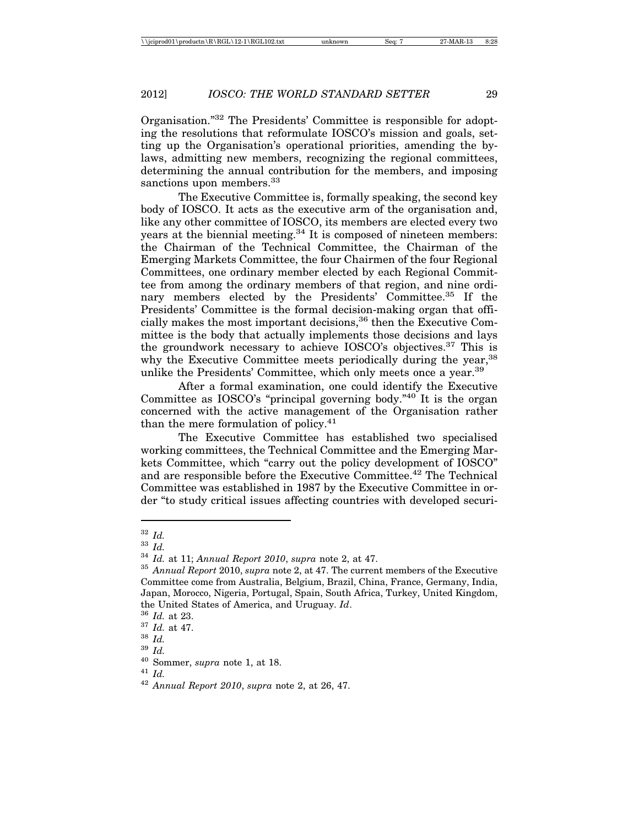Organisation."32 The Presidents' Committee is responsible for adopting the resolutions that reformulate IOSCO's mission and goals, setting up the Organisation's operational priorities, amending the bylaws, admitting new members, recognizing the regional committees, determining the annual contribution for the members, and imposing sanctions upon members.<sup>33</sup>

The Executive Committee is, formally speaking, the second key body of IOSCO. It acts as the executive arm of the organisation and, like any other committee of IOSCO, its members are elected every two years at the biennial meeting. $34$  It is composed of nineteen members: the Chairman of the Technical Committee, the Chairman of the Emerging Markets Committee, the four Chairmen of the four Regional Committees, one ordinary member elected by each Regional Committee from among the ordinary members of that region, and nine ordinary members elected by the Presidents' Committee.35 If the Presidents' Committee is the formal decision-making organ that officially makes the most important decisions,<sup>36</sup> then the Executive Committee is the body that actually implements those decisions and lays the groundwork necessary to achieve IOSCO's objectives.37 This is why the Executive Committee meets periodically during the year,<sup>38</sup> unlike the Presidents' Committee, which only meets once a year.39

After a formal examination, one could identify the Executive Committee as IOSCO's "principal governing body."40 It is the organ concerned with the active management of the Organisation rather than the mere formulation of policy.41

The Executive Committee has established two specialised working committees, the Technical Committee and the Emerging Markets Committee, which "carry out the policy development of IOSCO" and are responsible before the Executive Committee.42 The Technical Committee was established in 1987 by the Executive Committee in order "to study critical issues affecting countries with developed securi-

<sup>41</sup> *Id.*

<sup>32</sup> *Id.*

<sup>33</sup> *Id.*

<sup>34</sup> *Id.* at 11; *Annual Report 2010*, *supra* note 2, at 47.

<sup>35</sup> *Annual Report* 2010, *supra* note 2, at 47. The current members of the Executive Committee come from Australia, Belgium, Brazil, China, France, Germany, India, Japan, Morocco, Nigeria, Portugal, Spain, South Africa, Turkey, United Kingdom, the United States of America, and Uruguay. *Id*.

<sup>36</sup> *Id.* at 23.

<sup>37</sup> *Id.* at 47.

 $rac{38}{39}$  *Id.* 

<sup>39</sup> *Id.*

<sup>40</sup> Sommer, *supra* note 1, at 18.

<sup>42</sup> *Annual Report 2010*, *supra* note 2, at 26, 47.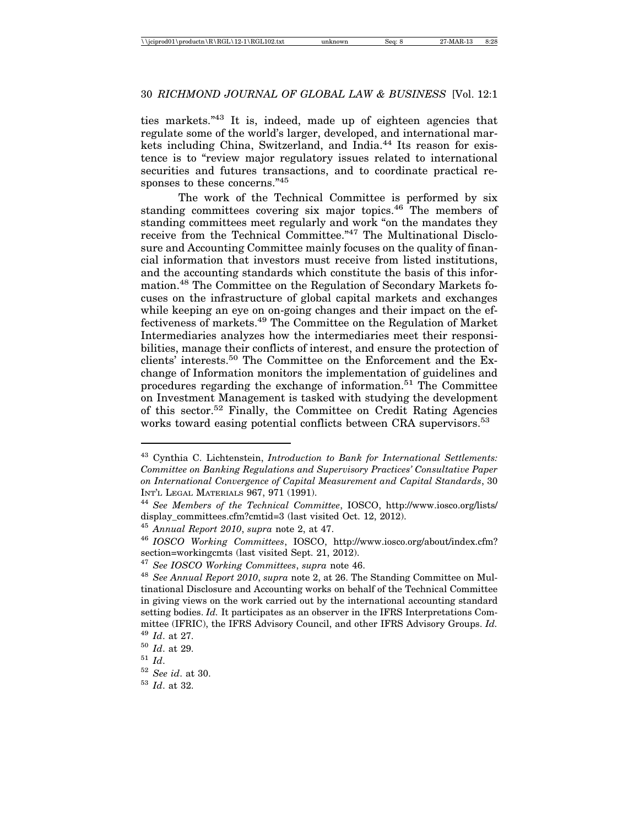ties markets."43 It is, indeed, made up of eighteen agencies that regulate some of the world's larger, developed, and international markets including China, Switzerland, and India.<sup>44</sup> Its reason for existence is to "review major regulatory issues related to international securities and futures transactions, and to coordinate practical responses to these concerns."45

The work of the Technical Committee is performed by six standing committees covering six major topics.<sup>46</sup> The members of standing committees meet regularly and work "on the mandates they receive from the Technical Committee."47 The Multinational Disclosure and Accounting Committee mainly focuses on the quality of financial information that investors must receive from listed institutions, and the accounting standards which constitute the basis of this information.48 The Committee on the Regulation of Secondary Markets focuses on the infrastructure of global capital markets and exchanges while keeping an eye on on-going changes and their impact on the effectiveness of markets.49 The Committee on the Regulation of Market Intermediaries analyzes how the intermediaries meet their responsibilities, manage their conflicts of interest, and ensure the protection of clients' interests.50 The Committee on the Enforcement and the Exchange of Information monitors the implementation of guidelines and procedures regarding the exchange of information.51 The Committee on Investment Management is tasked with studying the development of this sector.52 Finally, the Committee on Credit Rating Agencies works toward easing potential conflicts between CRA supervisors.<sup>53</sup>

<sup>43</sup> Cynthia C. Lichtenstein, *Introduction to Bank for International Settlements: Committee on Banking Regulations and Supervisory Practices' Consultative Paper on International Convergence of Capital Measurement and Capital Standards*, 30 INT'L LEGAL MATERIALS 967, 971 (1991).

<sup>44</sup> *See Members of the Technical Committee*, IOSCO, http://www.iosco.org/lists/ display\_committees.cfm?cmtid=3 (last visited Oct. 12, 2012).

<sup>45</sup> *Annual Report 2010*, *supra* note 2, at 47.

<sup>46</sup> *IOSCO Working Committees*, IOSCO, http://www.iosco.org/about/index.cfm? section=workingcmts (last visited Sept. 21, 2012).

<sup>47</sup> *See IOSCO Working Committees*, *supra* note 46.

<sup>48</sup> *See Annual Report 2010*, *supra* note 2, at 26. The Standing Committee on Multinational Disclosure and Accounting works on behalf of the Technical Committee in giving views on the work carried out by the international accounting standard setting bodies. *Id.* It participates as an observer in the IFRS Interpretations Committee (IFRIC), the IFRS Advisory Council, and other IFRS Advisory Groups. *Id.* <sup>49</sup> *Id*. at 27.

<sup>50</sup> *Id*. at 29.

<sup>51</sup> *Id*.

<sup>52</sup> *See id*. at 30.

<sup>53</sup> *Id*. at 32.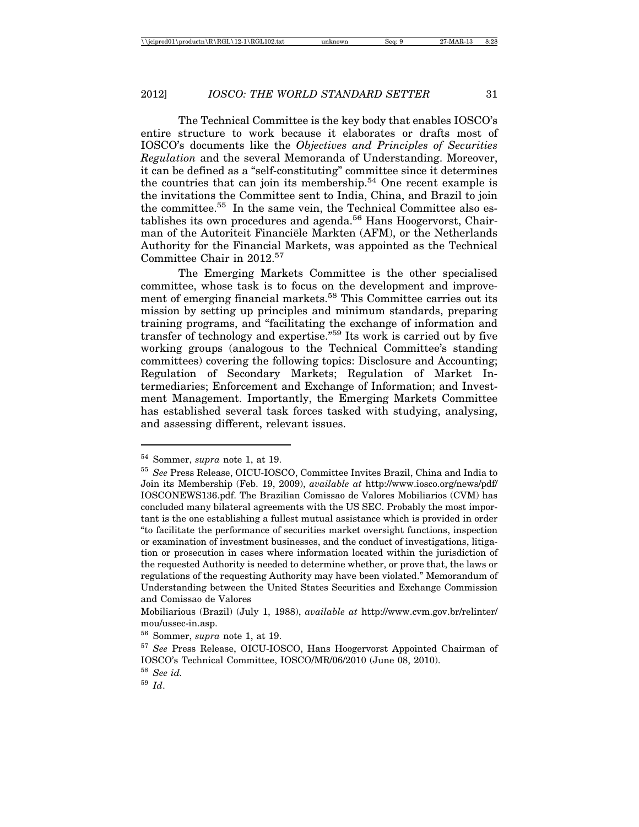The Technical Committee is the key body that enables IOSCO's entire structure to work because it elaborates or drafts most of IOSCO's documents like the *Objectives and Principles of Securities Regulation* and the several Memoranda of Understanding. Moreover, it can be defined as a "self-constituting" committee since it determines the countries that can join its membership.54 One recent example is the invitations the Committee sent to India, China, and Brazil to join the committee.55 In the same vein, the Technical Committee also establishes its own procedures and agenda.<sup>56</sup> Hans Hoogervorst, Chairman of the Autoriteit Financiële Markten (AFM), or the Netherlands Authority for the Financial Markets, was appointed as the Technical Committee Chair in 2012.57

The Emerging Markets Committee is the other specialised committee, whose task is to focus on the development and improvement of emerging financial markets.<sup>58</sup> This Committee carries out its mission by setting up principles and minimum standards, preparing training programs, and "facilitating the exchange of information and transfer of technology and expertise."59 Its work is carried out by five working groups (analogous to the Technical Committee's standing committees) covering the following topics: Disclosure and Accounting; Regulation of Secondary Markets; Regulation of Market Intermediaries; Enforcement and Exchange of Information; and Investment Management. Importantly, the Emerging Markets Committee has established several task forces tasked with studying, analysing, and assessing different, relevant issues.

<sup>54</sup> Sommer, *supra* note 1, at 19.

<sup>55</sup> *See* Press Release, OICU-IOSCO, Committee Invites Brazil, China and India to Join its Membership (Feb. 19, 2009), *available at* http://www.iosco.org/news/pdf/ IOSCONEWS136.pdf. The Brazilian Comissao de Valores Mobiliarios (CVM) has concluded many bilateral agreements with the US SEC. Probably the most important is the one establishing a fullest mutual assistance which is provided in order "to facilitate the performance of securities market oversight functions, inspection or examination of investment businesses, and the conduct of investigations, litigation or prosecution in cases where information located within the jurisdiction of the requested Authority is needed to determine whether, or prove that, the laws or regulations of the requesting Authority may have been violated." Memorandum of Understanding between the United States Securities and Exchange Commission and Comissao de Valores

Mobiliarious (Brazil) (July 1, 1988), *available at* http://www.cvm.gov.br/relinter/ mou/ussec-in.asp.

<sup>56</sup> Sommer, *supra* note 1, at 19.

<sup>57</sup> *See* Press Release, OICU-IOSCO, Hans Hoogervorst Appointed Chairman of IOSCO's Technical Committee, IOSCO/MR/06/2010 (June 08, 2010).

<sup>58</sup> *See id.*

<sup>59</sup> *Id*.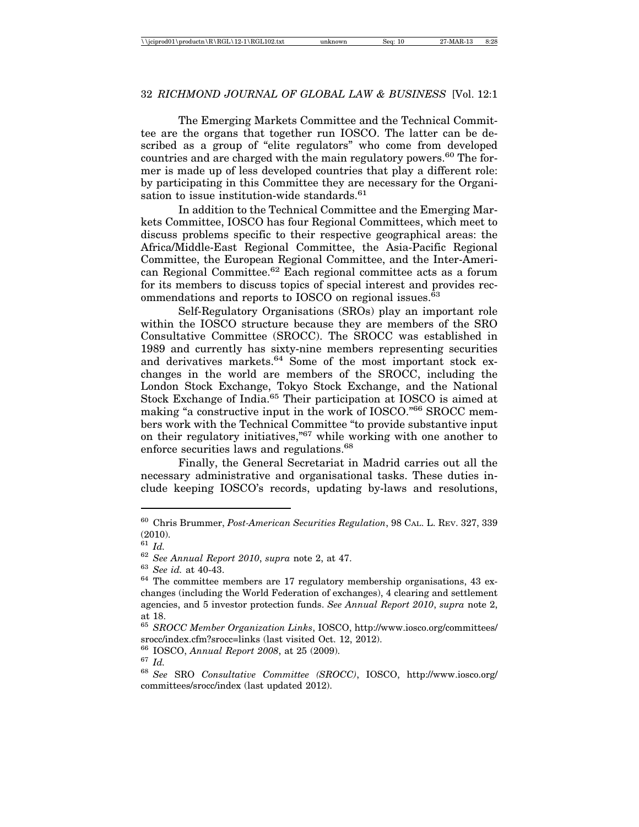The Emerging Markets Committee and the Technical Committee are the organs that together run IOSCO. The latter can be described as a group of "elite regulators" who come from developed countries and are charged with the main regulatory powers.<sup>60</sup> The former is made up of less developed countries that play a different role: by participating in this Committee they are necessary for the Organisation to issue institution-wide standards.<sup>61</sup>

In addition to the Technical Committee and the Emerging Markets Committee, IOSCO has four Regional Committees, which meet to discuss problems specific to their respective geographical areas: the Africa/Middle-East Regional Committee, the Asia-Pacific Regional Committee, the European Regional Committee, and the Inter-American Regional Committee.62 Each regional committee acts as a forum for its members to discuss topics of special interest and provides recommendations and reports to  $IOSCO$  on regional issues.<sup> $63$ </sup>

Self-Regulatory Organisations (SROs) play an important role within the IOSCO structure because they are members of the SRO Consultative Committee (SROCC). The SROCC was established in 1989 and currently has sixty-nine members representing securities and derivatives markets.<sup>64</sup> Some of the most important stock exchanges in the world are members of the SROCC, including the London Stock Exchange, Tokyo Stock Exchange, and the National Stock Exchange of India.<sup>65</sup> Their participation at IOSCO is aimed at making "a constructive input in the work of IOSCO."66 SROCC members work with the Technical Committee "to provide substantive input on their regulatory initiatives,"67 while working with one another to enforce securities laws and regulations.68

Finally, the General Secretariat in Madrid carries out all the necessary administrative and organisational tasks. These duties include keeping IOSCO's records, updating by-laws and resolutions,

<sup>60</sup> Chris Brummer, *Post-American Securities Regulation*, 98 CAL. L. REV. 327, 339 (2010).

 $61$  *Id.* 

<sup>62</sup> *See Annual Report 2010*, *supra* note 2, at 47.

<sup>63</sup> *See id.* at 40-43.

 $64$  The committee members are 17 regulatory membership organisations, 43 exchanges (including the World Federation of exchanges), 4 clearing and settlement agencies, and 5 investor protection funds. *See Annual Report 2010*, *supra* note 2, at 18.

<sup>65</sup> *SROCC Member Organization Links*, IOSCO, http://www.iosco.org/committees/ srocc/index.cfm?srocc=links (last visited Oct. 12, 2012).

<sup>66</sup> IOSCO, *Annual Report 2008*, at 25 (2009).

<sup>67</sup> *Id.*

<sup>68</sup> *See* SRO *Consultative Committee (SROCC)*, IOSCO, http://www.iosco.org/ committees/srocc/index (last updated 2012).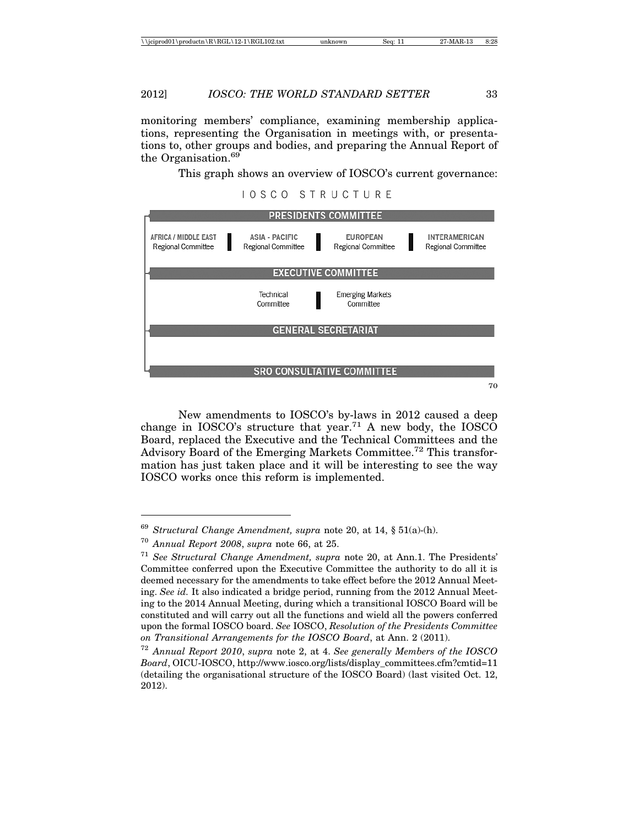monitoring members' compliance, examining membership applications, representing the Organisation in meetings with, or presentations to, other groups and bodies, and preparing the Annual Report of the Organisation.<sup>69</sup>

This graph shows an overview of IOSCO's current governance:

#### **IOSCO STRUCTURE**



New amendments to IOSCO's by-laws in 2012 caused a deep change in IOSCO's structure that year.<sup>71</sup> A new body, the IOSCO Board, replaced the Executive and the Technical Committees and the Advisory Board of the Emerging Markets Committee.72 This transformation has just taken place and it will be interesting to see the way IOSCO works once this reform is implemented.

<sup>69</sup> *Structural Change Amendment, supra* note 20, at 14, § 51(a)-(h).

<sup>70</sup> *Annual Report 2008*, *supra* note 66, at 25.

<sup>71</sup> *See Structural Change Amendment, supra* note 20, at Ann.1. The Presidents' Committee conferred upon the Executive Committee the authority to do all it is deemed necessary for the amendments to take effect before the 2012 Annual Meeting. *See id.* It also indicated a bridge period, running from the 2012 Annual Meeting to the 2014 Annual Meeting, during which a transitional IOSCO Board will be constituted and will carry out all the functions and wield all the powers conferred upon the formal IOSCO board. *See* IOSCO, *Resolution of the Presidents Committee on Transitional Arrangements for the IOSCO Board*, at Ann. 2 (2011).

<sup>72</sup> *Annual Report 2010*, *supra* note 2, at 4. *See generally Members of the IOSCO Board*, OICU-IOSCO, http://www.iosco.org/lists/display\_committees.cfm?cmtid=11 (detailing the organisational structure of the IOSCO Board) (last visited Oct. 12, 2012).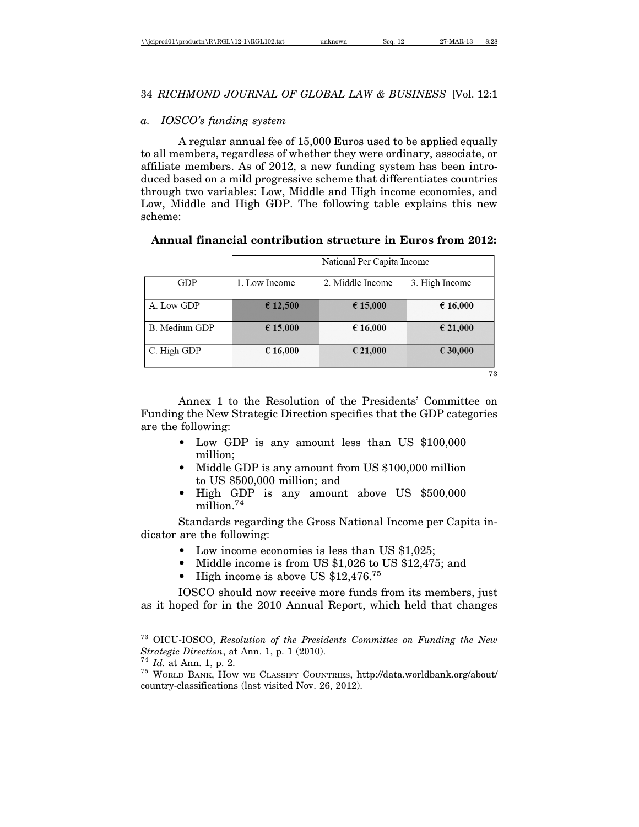| \\jciprod01\productn\R\RGL\12-1\RGL102.txt |  |
|--------------------------------------------|--|
|--------------------------------------------|--|

#### *a. IOSCO's funding system*

A regular annual fee of 15,000 Euros used to be applied equally to all members, regardless of whether they were ordinary, associate, or affiliate members. As of 2012, a new funding system has been introduced based on a mild progressive scheme that differentiates countries through two variables: Low, Middle and High income economies, and Low, Middle and High GDP. The following table explains this new scheme:

# **Annual financial contribution structure in Euros from 2012:**

|                      | National Per Capita Income |                  |                |
|----------------------|----------------------------|------------------|----------------|
| GDP                  | 1. Low Income              | 2. Middle Income | 3. High Income |
| A. Low GDP           | € 12,500                   | € 15,000         | € 16,000       |
| <b>B.</b> Medium GDP | € 15,000                   | € 16,000         | € 21,000       |
| C. High GDP          | € 16,000                   | € 21,000         | € 30,000       |

73

Annex 1 to the Resolution of the Presidents' Committee on Funding the New Strategic Direction specifies that the GDP categories are the following:

- Low GDP is any amount less than US \$100,000 million;
- Middle GDP is any amount from US \$100,000 million to US \$500,000 million; and
- High GDP is any amount above US \$500,000 million.74

Standards regarding the Gross National Income per Capita indicator are the following:

- Low income economies is less than US \$1,025;
- Middle income is from US \$1,026 to US \$12,475; and
- High income is above US  $$12,476$ .<sup>75</sup>

IOSCO should now receive more funds from its members, just as it hoped for in the 2010 Annual Report, which held that changes

<sup>73</sup> OICU-IOSCO, *Resolution of the Presidents Committee on Funding the New*

<sup>&</sup>lt;sup>74</sup> *Id.* at Ann. 1, p. 2.<br><sup>75</sup> WORLD BANK, HOW WE CLASSIFY COUNTRIES, http://data.worldbank.org/about/ country-classifications (last visited Nov. 26, 2012).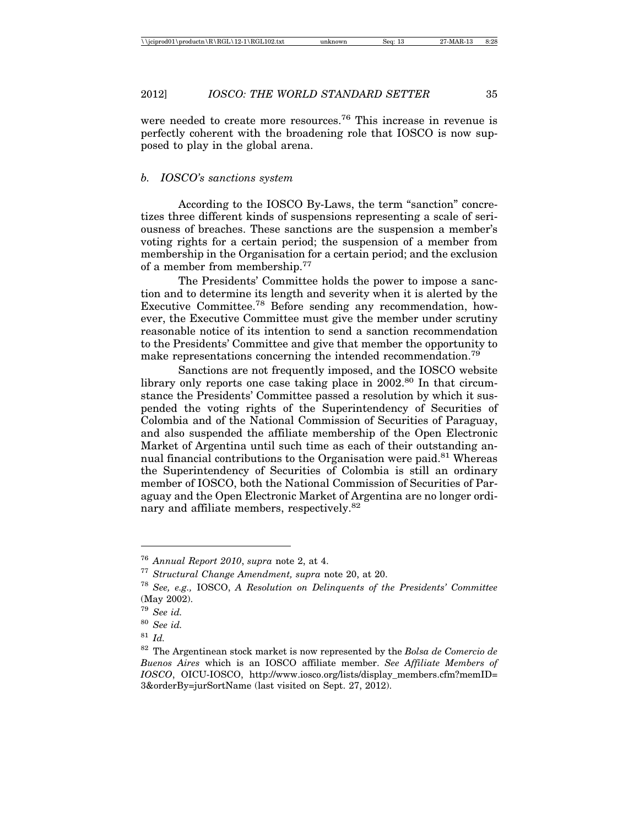were needed to create more resources.<sup>76</sup> This increase in revenue is perfectly coherent with the broadening role that IOSCO is now supposed to play in the global arena.

# *b. IOSCO's sanctions system*

According to the IOSCO By-Laws, the term "sanction" concretizes three different kinds of suspensions representing a scale of seriousness of breaches. These sanctions are the suspension a member's voting rights for a certain period; the suspension of a member from membership in the Organisation for a certain period; and the exclusion of a member from membership.77

The Presidents' Committee holds the power to impose a sanction and to determine its length and severity when it is alerted by the Executive Committee.78 Before sending any recommendation, however, the Executive Committee must give the member under scrutiny reasonable notice of its intention to send a sanction recommendation to the Presidents' Committee and give that member the opportunity to make representations concerning the intended recommendation.<sup>79</sup>

Sanctions are not frequently imposed, and the IOSCO website library only reports one case taking place in  $2002<sup>80</sup>$  In that circumstance the Presidents' Committee passed a resolution by which it suspended the voting rights of the Superintendency of Securities of Colombia and of the National Commission of Securities of Paraguay, and also suspended the affiliate membership of the Open Electronic Market of Argentina until such time as each of their outstanding annual financial contributions to the Organisation were paid.<sup>81</sup> Whereas the Superintendency of Securities of Colombia is still an ordinary member of IOSCO, both the National Commission of Securities of Paraguay and the Open Electronic Market of Argentina are no longer ordinary and affiliate members, respectively.<sup>82</sup>

<sup>76</sup> *Annual Report 2010*, *supra* note 2, at 4.

<sup>77</sup> *Structural Change Amendment, supra* note 20, at 20.

<sup>78</sup> *See, e.g.,* IOSCO, *A Resolution on Delinquents of the Presidents' Committee* (May 2002).

<sup>79</sup> *See id.*

<sup>80</sup> *See id.*

<sup>81</sup> *Id.*

<sup>82</sup> The Argentinean stock market is now represented by the *Bolsa de Comercio de Buenos Aires* which is an IOSCO affiliate member. *See Affiliate Members of IOSCO*, OICU-IOSCO, http://www.iosco.org/lists/display\_members.cfm?memID= 3&orderBy=jurSortName (last visited on Sept. 27, 2012).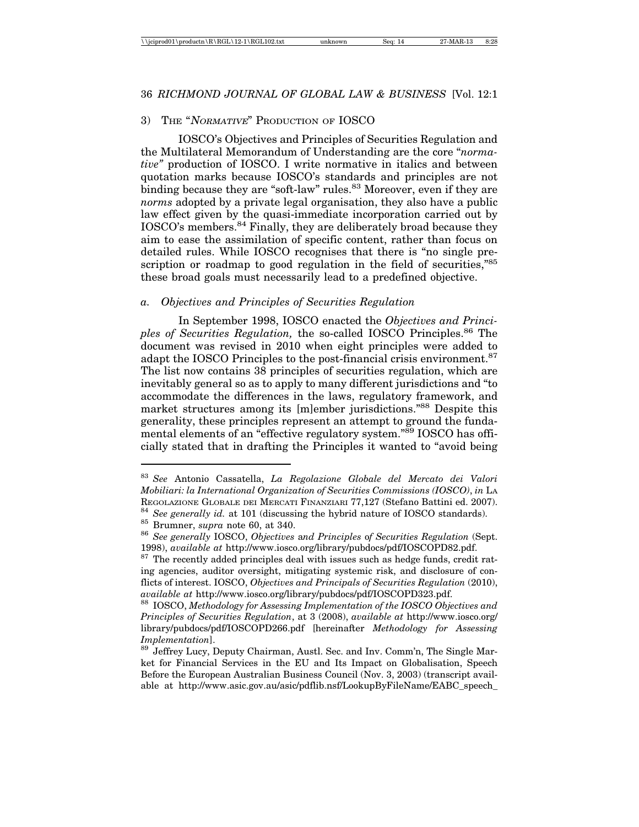#### 3) THE "NORMATIVE" PRODUCTION OF IOSCO

IOSCO's Objectives and Principles of Securities Regulation and the Multilateral Memorandum of Understanding are the core "*normative"* production of IOSCO. I write normative in italics and between quotation marks because IOSCO's standards and principles are not binding because they are "soft-law" rules.<sup>83</sup> Moreover, even if they are *norms* adopted by a private legal organisation, they also have a public law effect given by the quasi-immediate incorporation carried out by IOSCO's members.84 Finally, they are deliberately broad because they aim to ease the assimilation of specific content, rather than focus on detailed rules. While IOSCO recognises that there is "no single prescription or roadmap to good regulation in the field of securities,"85 these broad goals must necessarily lead to a predefined objective.

#### *a. Objectives and Principles of Securities Regulation*

In September 1998, IOSCO enacted the *Objectives and Principles of Securities Regulation,* the so-called IOSCO Principles.86 The document was revised in 2010 when eight principles were added to adapt the IOSCO Principles to the post-financial crisis environment.<sup>87</sup> The list now contains 38 principles of securities regulation, which are inevitably general so as to apply to many different jurisdictions and "to accommodate the differences in the laws, regulatory framework, and market structures among its [m]ember jurisdictions."88 Despite this generality, these principles represent an attempt to ground the fundamental elements of an "effective regulatory system."89 IOSCO has officially stated that in drafting the Principles it wanted to "avoid being

<sup>83</sup> *See* Antonio Cassatella, *La Regolazione Globale del Mercato dei Valori Mobiliari: la International Organization of Securities Commissions (IOSCO)*, *in* LA

<sup>&</sup>lt;sup>84</sup> See generally id. at 101 (discussing the hybrid nature of IOSCO standards).<br><sup>85</sup> Brumner, *supra* note 60, at 340.<br><sup>86</sup> See generally IOSCO, *Objectives and Principles of Securities Regulation* (Sept. 1998), *available at* http://www.iosco.org/library/pubdocs/pdf/IOSCOPD82.pdf.  $87$  The recently added principles deal with issues such as hedge funds, credit rat-

ing agencies, auditor oversight, mitigating systemic risk, and disclosure of conflicts of interest. IOSCO, *Objectives and Principals of Securities Regulation* (2010), *available at* http://www.iosco.org/library/pubdocs/pdf/IOSCOPD323.pdf. <sup>88</sup> IOSCO, *Methodology for Assessing Implementation of the IOSCO Objectives and*

*Principles of Securities Regulation*, at 3 (2008), *available at* http://www.iosco.org/ library/pubdocs/pdf/IOSCOPD266.pdf [hereinafter *Methodology for Assessing Implementation*].<br><sup>89</sup> Jeffrey Lucy, Deputy Chairman, Austl. Sec. and Inv. Comm'n, The Single Mar-

ket for Financial Services in the EU and Its Impact on Globalisation, Speech Before the European Australian Business Council (Nov. 3, 2003) (transcript available at http://www.asic.gov.au/asic/pdflib.nsf/LookupByFileName/EABC\_speech\_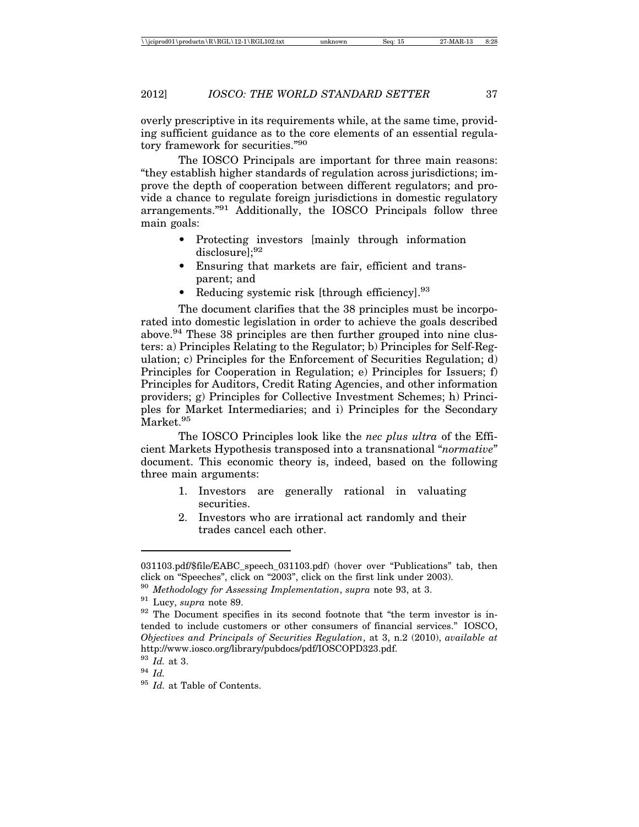overly prescriptive in its requirements while, at the same time, providing sufficient guidance as to the core elements of an essential regulatory framework for securities."90

The IOSCO Principals are important for three main reasons: "they establish higher standards of regulation across jurisdictions; improve the depth of cooperation between different regulators; and provide a chance to regulate foreign jurisdictions in domestic regulatory arrangements."91 Additionally, the IOSCO Principals follow three main goals:

- Protecting investors [mainly through information disclosure];<sup>92</sup>
- Ensuring that markets are fair, efficient and transparent; and
- Reducing systemic risk [through efficiency].<sup>93</sup>

The document clarifies that the 38 principles must be incorporated into domestic legislation in order to achieve the goals described above.94 These 38 principles are then further grouped into nine clusters: a) Principles Relating to the Regulator; b) Principles for Self-Regulation; c) Principles for the Enforcement of Securities Regulation; d) Principles for Cooperation in Regulation; e) Principles for Issuers; f) Principles for Auditors, Credit Rating Agencies, and other information providers; g) Principles for Collective Investment Schemes; h) Principles for Market Intermediaries; and i) Principles for the Secondary Market.<sup>95</sup>

The IOSCO Principles look like the *nec plus ultra* of the Efficient Markets Hypothesis transposed into a transnational "*normative*" document. This economic theory is, indeed, based on the following three main arguments:

- 1. Investors are generally rational in valuating securities.
- 2. Investors who are irrational act randomly and their trades cancel each other.

<sup>031103.</sup>pdf/\$file/EABC\_speech\_031103.pdf) (hover over "Publications" tab, then click on "Speeches", click on "2003", click on the first link under 2003).

<sup>90</sup> *Methodology for Assessing Implementation*, *supra* note 93, at 3.

<sup>91</sup> Lucy, *supra* note 89.

<sup>&</sup>lt;sup>92</sup> The Document specifies in its second footnote that "the term investor is intended to include customers or other consumers of financial services." IOSCO, *Objectives and Principals of Securities Regulation*, at 3, n.2 (2010), *available at* http://www.iosco.org/library/pubdocs/pdf/IOSCOPD323.pdf.

<sup>93</sup> *Id.* at 3.

<sup>94</sup> *Id.*

<sup>95</sup> *Id.* at Table of Contents.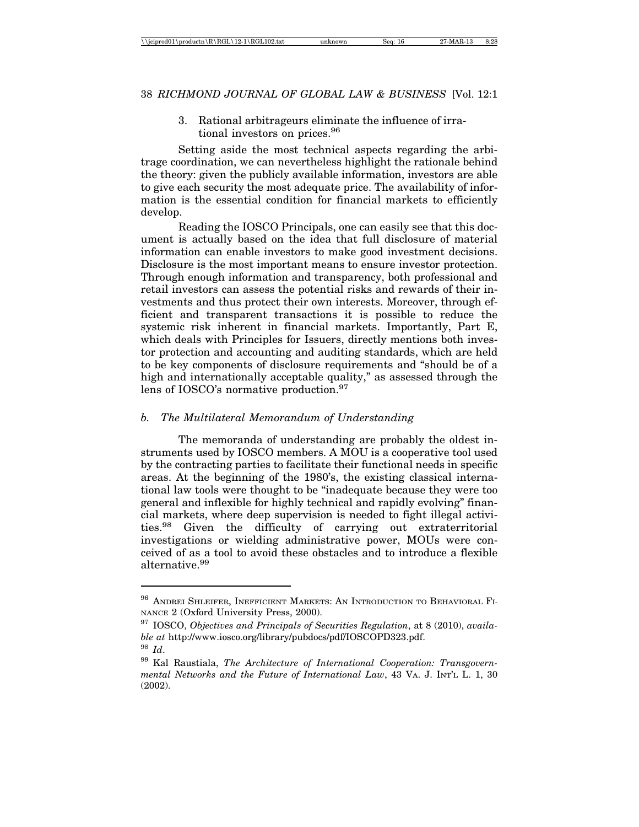3. Rational arbitrageurs eliminate the influence of irrational investors on prices.<sup>96</sup>

Setting aside the most technical aspects regarding the arbitrage coordination, we can nevertheless highlight the rationale behind the theory: given the publicly available information, investors are able to give each security the most adequate price. The availability of information is the essential condition for financial markets to efficiently develop.

Reading the IOSCO Principals, one can easily see that this document is actually based on the idea that full disclosure of material information can enable investors to make good investment decisions. Disclosure is the most important means to ensure investor protection. Through enough information and transparency, both professional and retail investors can assess the potential risks and rewards of their investments and thus protect their own interests. Moreover, through efficient and transparent transactions it is possible to reduce the systemic risk inherent in financial markets. Importantly, Part E, which deals with Principles for Issuers, directly mentions both investor protection and accounting and auditing standards, which are held to be key components of disclosure requirements and "should be of a high and internationally acceptable quality," as assessed through the lens of IOSCO's normative production.<sup>97</sup>

#### *b. The Multilateral Memorandum of Understanding*

The memoranda of understanding are probably the oldest instruments used by IOSCO members. A MOU is a cooperative tool used by the contracting parties to facilitate their functional needs in specific areas. At the beginning of the 1980's, the existing classical international law tools were thought to be "inadequate because they were too general and inflexible for highly technical and rapidly evolving" financial markets, where deep supervision is needed to fight illegal activities.98 Given the difficulty of carrying out extraterritorial investigations or wielding administrative power, MOUs were conceived of as a tool to avoid these obstacles and to introduce a flexible alternative.99

<sup>96</sup> ANDREI SHLEIFER, INEFFICIENT MARKETS: AN INTRODUCTION TO BEHAVIORAL FI-NANCE 2 (Oxford University Press, 2000).

<sup>97</sup> IOSCO, *Objectives and Principals of Securities Regulation*, at 8 (2010), *available at* http://www.iosco.org/library/pubdocs/pdf/IOSCOPD323.pdf. <sup>98</sup> *Id*.

<sup>99</sup> Kal Raustiala, *The Architecture of International Cooperation: Transgovernmental Networks and the Future of International Law*, 43 VA. J. INT'L L. 1, 30 (2002).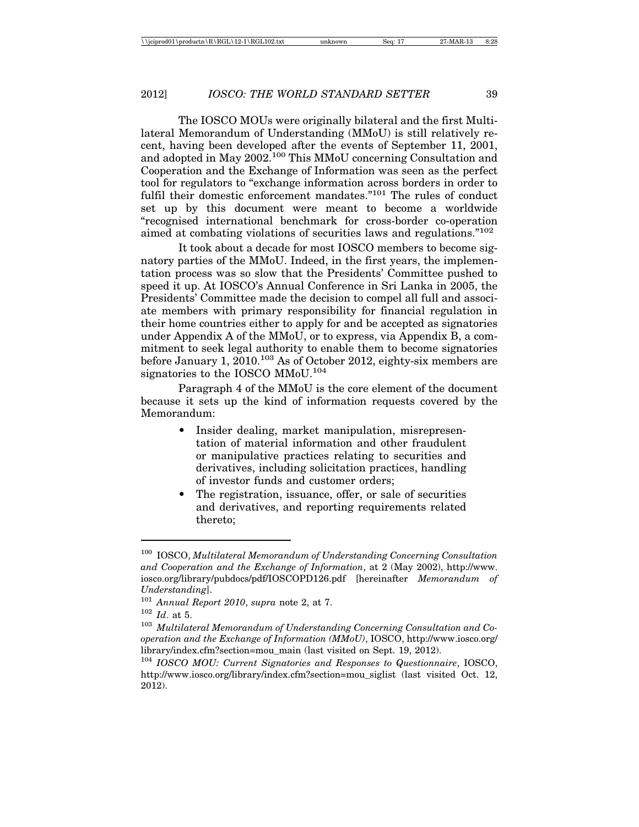The IOSCO MOUs were originally bilateral and the first Multilateral Memorandum of Understanding (MMoU) is still relatively recent, having been developed after the events of September 11, 2001, and adopted in May 2002.100 This MMoU concerning Consultation and Cooperation and the Exchange of Information was seen as the perfect tool for regulators to "exchange information across borders in order to fulfil their domestic enforcement mandates."<sup>101</sup> The rules of conduct set up by this document were meant to become a worldwide "recognised international benchmark for cross-border co-operation aimed at combating violations of securities laws and regulations."102

It took about a decade for most IOSCO members to become signatory parties of the MMoU. Indeed, in the first years, the implementation process was so slow that the Presidents' Committee pushed to speed it up. At IOSCO's Annual Conference in Sri Lanka in 2005, the Presidents' Committee made the decision to compel all full and associate members with primary responsibility for financial regulation in their home countries either to apply for and be accepted as signatories under Appendix A of the MMoU, or to express, via Appendix B, a commitment to seek legal authority to enable them to become signatories before January 1, 2010.103 As of October 2012, eighty-six members are signatories to the IOSCO MMoU.104

Paragraph 4 of the MMoU is the core element of the document because it sets up the kind of information requests covered by the Memorandum:

- Insider dealing, market manipulation, misrepresentation of material information and other fraudulent or manipulative practices relating to securities and derivatives, including solicitation practices, handling of investor funds and customer orders;
- The registration, issuance, offer, or sale of securities and derivatives, and reporting requirements related thereto;

<sup>100</sup> IOSCO, *Multilateral Memorandum of Understanding Concerning Consultation and Cooperation and the Exchange of Information*, at 2 (May 2002), http://www. iosco.org/library/pubdocs/pdf/IOSCOPD126.pdf [hereinafter *Memorandum of Understanding*].

<sup>101</sup> *Annual Report 2010*, *supra* note 2, at 7. <sup>102</sup> *Id*. at 5.

<sup>103</sup> *Multilateral Memorandum of Understanding Concerning Consultation and Cooperation and the Exchange of Information (MMoU)*, IOSCO, http://www.iosco.org/ library/index.cfm?section=mou\_main (last visited on Sept. 19, 2012).

<sup>104</sup> *IOSCO MOU: Current Signatories and Responses to Questionnaire*, IOSCO, http://www.iosco.org/library/index.cfm?section=mou\_siglist (last visited Oct. 12, 2012).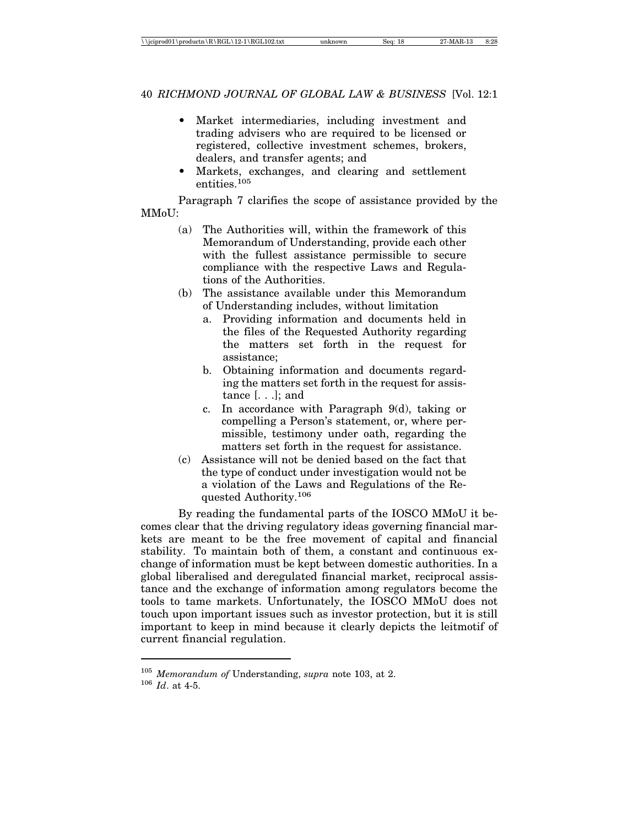- Market intermediaries, including investment and trading advisers who are required to be licensed or registered, collective investment schemes, brokers, dealers, and transfer agents; and
- Markets, exchanges, and clearing and settlement entities.<sup>105</sup>

Paragraph 7 clarifies the scope of assistance provided by the MMoU:

- (a) The Authorities will, within the framework of this Memorandum of Understanding, provide each other with the fullest assistance permissible to secure compliance with the respective Laws and Regulations of the Authorities.
- (b) The assistance available under this Memorandum of Understanding includes, without limitation
	- a. Providing information and documents held in the files of the Requested Authority regarding the matters set forth in the request for assistance;
	- b. Obtaining information and documents regarding the matters set forth in the request for assistance [. . .]; and
	- c. In accordance with Paragraph 9(d), taking or compelling a Person's statement, or, where permissible, testimony under oath, regarding the matters set forth in the request for assistance.
- (c) Assistance will not be denied based on the fact that the type of conduct under investigation would not be a violation of the Laws and Regulations of the Requested Authority.106

By reading the fundamental parts of the IOSCO MMoU it becomes clear that the driving regulatory ideas governing financial markets are meant to be the free movement of capital and financial stability. To maintain both of them, a constant and continuous exchange of information must be kept between domestic authorities. In a global liberalised and deregulated financial market, reciprocal assistance and the exchange of information among regulators become the tools to tame markets. Unfortunately, the IOSCO MMoU does not touch upon important issues such as investor protection, but it is still important to keep in mind because it clearly depicts the leitmotif of current financial regulation.

<sup>105</sup> *Memorandum of* Understanding, *supra* note 103, at 2.

<sup>106</sup> *Id*. at 4-5.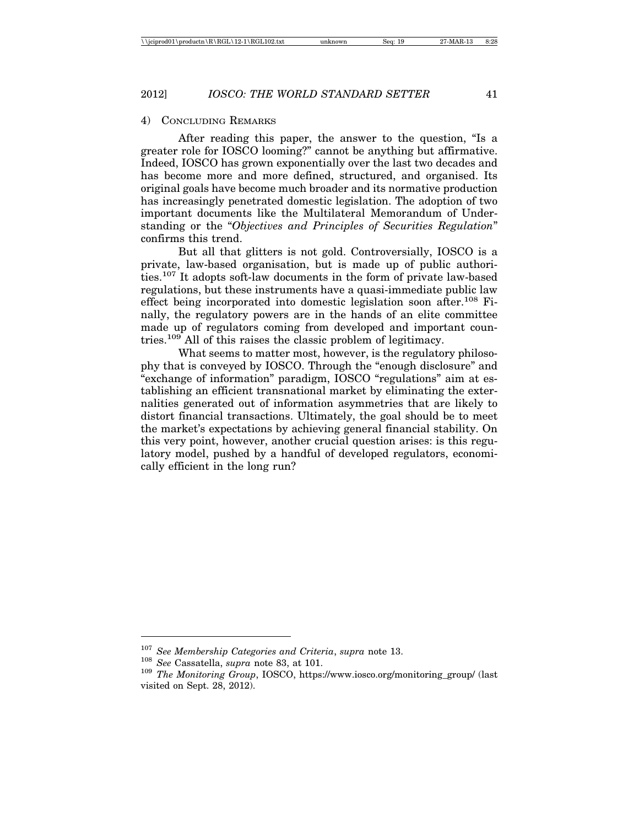#### 4) CONCLUDING REMARKS

After reading this paper, the answer to the question, "Is a greater role for IOSCO looming?" cannot be anything but affirmative. Indeed, IOSCO has grown exponentially over the last two decades and has become more and more defined, structured, and organised. Its original goals have become much broader and its normative production has increasingly penetrated domestic legislation. The adoption of two important documents like the Multilateral Memorandum of Understanding or the "*Objectives and Principles of Securities Regulation*" confirms this trend.

But all that glitters is not gold. Controversially, IOSCO is a private, law-based organisation, but is made up of public authorities.107 It adopts soft-law documents in the form of private law-based regulations, but these instruments have a quasi-immediate public law effect being incorporated into domestic legislation soon after.108 Finally, the regulatory powers are in the hands of an elite committee made up of regulators coming from developed and important countries.109 All of this raises the classic problem of legitimacy.

What seems to matter most, however, is the regulatory philosophy that is conveyed by IOSCO. Through the "enough disclosure" and "exchange of information" paradigm, IOSCO "regulations" aim at establishing an efficient transnational market by eliminating the externalities generated out of information asymmetries that are likely to distort financial transactions. Ultimately, the goal should be to meet the market's expectations by achieving general financial stability. On this very point, however, another crucial question arises: is this regulatory model, pushed by a handful of developed regulators, economically efficient in the long run?

<sup>&</sup>lt;sup>107</sup> *See Membership Categories and Criteria*, *supra* note 13.<br><sup>108</sup> *See* Cassatella, *supra* note 83, at 101.<br><sup>109</sup> *The Monitoring Group*, IOSCO, https://www.iosco.org/monitoring\_group/ (last visited on Sept. 28, 2012).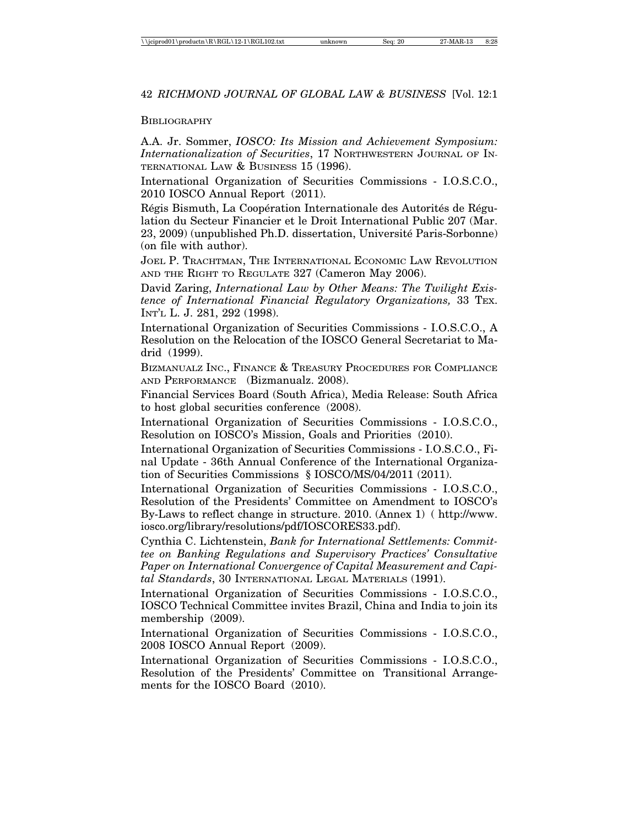#### **BIBLIOGRAPHY**

A.A. Jr. Sommer, *IOSCO: Its Mission and Achievement Symposium: Internationalization of Securities*, 17 NORTHWESTERN JOURNAL OF IN-TERNATIONAL LAW & BUSINESS 15 (1996).

International Organization of Securities Commissions - I.O.S.C.O., 2010 IOSCO Annual Report (2011).

Régis Bismuth, La Coopération Internationale des Autorités de Régulation du Secteur Financier et le Droit International Public 207 (Mar. 23, 2009) (unpublished Ph.D. dissertation, Université Paris-Sorbonne) (on file with author).

JOEL P. TRACHTMAN, THE INTERNATIONAL ECONOMIC LAW REVOLUTION AND THE RIGHT TO REGULATE 327 (Cameron May 2006).

David Zaring, *International Law by Other Means: The Twilight Existence of International Financial Regulatory Organizations,* 33 TEX. INT'L L. J. 281, 292 (1998).

International Organization of Securities Commissions - I.O.S.C.O., A Resolution on the Relocation of the IOSCO General Secretariat to Madrid (1999).

BIZMANUALZ INC., FINANCE & TREASURY PROCEDURES FOR COMPLIANCE AND PERFORMANCE (Bizmanualz. 2008).

Financial Services Board (South Africa), Media Release: South Africa to host global securities conference (2008).

International Organization of Securities Commissions - I.O.S.C.O., Resolution on IOSCO's Mission, Goals and Priorities (2010).

International Organization of Securities Commissions - I.O.S.C.O., Final Update - 36th Annual Conference of the International Organization of Securities Commissions § IOSCO/MS/04/2011 (2011).

International Organization of Securities Commissions - I.O.S.C.O., Resolution of the Presidents' Committee on Amendment to IOSCO's By-Laws to reflect change in structure. 2010. (Annex 1) ( http://www. iosco.org/library/resolutions/pdf/IOSCORES33.pdf).

Cynthia C. Lichtenstein, *Bank for International Settlements: Committee on Banking Regulations and Supervisory Practices' Consultative Paper on International Convergence of Capital Measurement and Capital Standards*, 30 INTERNATIONAL LEGAL MATERIALS (1991).

International Organization of Securities Commissions - I.O.S.C.O., IOSCO Technical Committee invites Brazil, China and India to join its membership (2009).

International Organization of Securities Commissions - I.O.S.C.O., 2008 IOSCO Annual Report (2009).

International Organization of Securities Commissions - I.O.S.C.O., Resolution of the Presidents' Committee on Transitional Arrangements for the IOSCO Board (2010).